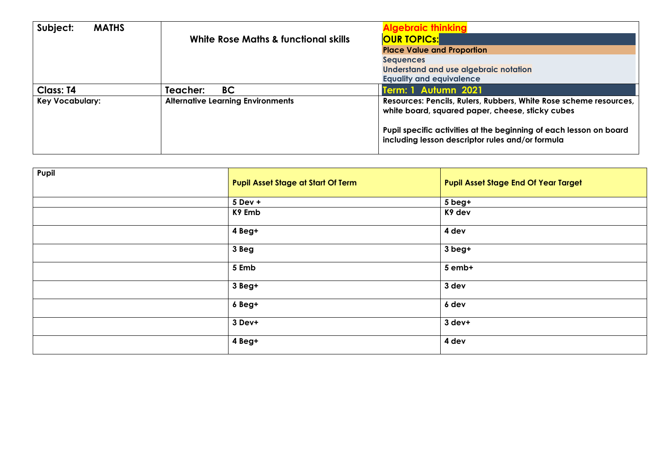| Subject:<br><b>MATHS</b> |                                          | <b>Algebraic thinkinc</b>                                                                                              |  |
|--------------------------|------------------------------------------|------------------------------------------------------------------------------------------------------------------------|--|
|                          | White Rose Maths & functional skills     | <b>OUR TOPICS:</b>                                                                                                     |  |
|                          |                                          | <b>Place Value and Proportion</b>                                                                                      |  |
|                          |                                          | <b>Sequences</b>                                                                                                       |  |
|                          |                                          | <b>Understand and use algebraic notation</b>                                                                           |  |
|                          |                                          | <b>Equality and equivalence</b>                                                                                        |  |
| <b>Class: T4</b>         | BC<br>Teacher:                           | Term: 1 Autumn 2021                                                                                                    |  |
| <b>Key Vocabulary:</b>   | <b>Alternative Learning Environments</b> | Resources: Pencils, Rulers, Rubbers, White Rose scheme resources,<br>white board, squared paper, cheese, sticky cubes  |  |
|                          |                                          | Pupil specific activities at the beginning of each lesson on board<br>including lesson descriptor rules and/or formula |  |

| Pupil | <b>Pupil Asset Stage at Start Of Term</b> | <b>Pupil Asset Stage End Of Year Target</b> |
|-------|-------------------------------------------|---------------------------------------------|
|       | 5 Dev +                                   | 5 beg+                                      |
|       | K9 Emb                                    | K9 dev                                      |
|       | 4 Beg+                                    | 4 dev                                       |
|       | 3 Beg                                     | 3 beg+                                      |
|       | 5 Emb                                     | 5 emb+                                      |
|       | 3 Beg+                                    | 3 dev                                       |
|       | 6 Beg+                                    | 6 dev                                       |
|       | 3 Dev+                                    | 3 dev+                                      |
|       | 4 Beg+                                    | 4 dev                                       |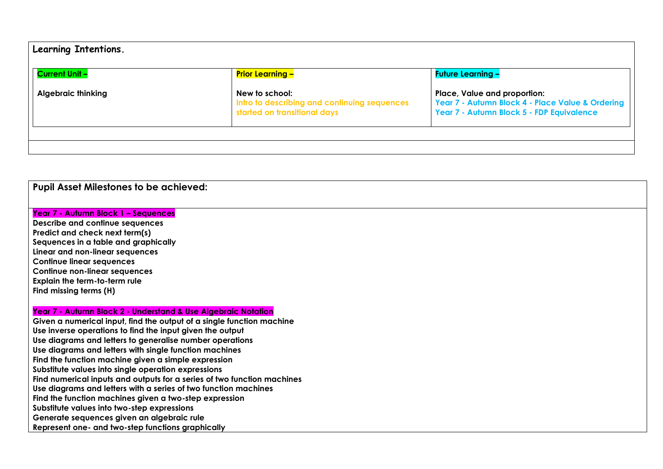| Learning Intentions.      |                                                                                                |                                                                                                                               |  |  |
|---------------------------|------------------------------------------------------------------------------------------------|-------------------------------------------------------------------------------------------------------------------------------|--|--|
| <b>Current Unit -</b>     | <b>Prior Learning –</b>                                                                        | <b>Future Learning -</b>                                                                                                      |  |  |
| <b>Algebraic thinking</b> | New to school:<br>Intro to describing and continuing sequences<br>started on transitional days | Place, Value and proportion:<br>Year 7 - Autumn Block 4 - Place Value & Ordering<br>Year 7 - Autumn Block 5 - FDP Equivalence |  |  |
|                           |                                                                                                |                                                                                                                               |  |  |

## **Pupil Asset Milestones to be achieved:**

## **Year 7 - Autumn Block 1 – Sequences**

**Describe and continue sequences Predict and check next term(s) Sequences in a table and graphically Linear and non-linear sequences Continue linear sequences Continue non-linear sequences Explain the term-to-term rule Find missing terms (H)**

## **Year 7 - Autumn Block 2 - Understand & Use Algebraic Notation**

**Given a numerical input, find the output of a single function machine Use inverse operations to find the input given the output Use diagrams and letters to generalise number operations Use diagrams and letters with single function machines Find the function machine given a simple expression Substitute values into single operation expressions Find numerical inputs and outputs for a series of two function machines Use diagrams and letters with a series of two function machines Find the function machines given a two-step expression Substitute values into two-step expressions Generate sequences given an algebraic rule Represent one- and two-step functions graphically**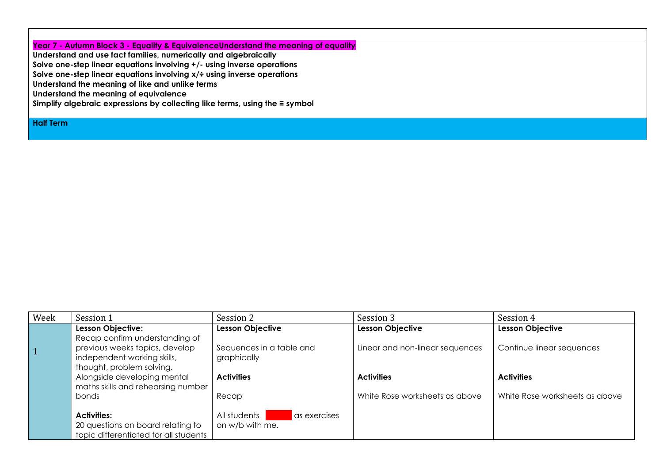**Year 7 - Autumn Block 3 - Equality & EquivalenceUnderstand the meaning of equality** 

**Understand and use fact families, numerically and algebraically**

**Solve one-step linear equations involving +/- using inverse operations** 

**Solve one-step linear equations involving x/÷ using inverse operations** 

**Understand the meaning of like and unlike terms**

**Understand the meaning of equivalence**

**Simplify algebraic expressions by collecting like terms, using the ≡ symbol**

**Half Term**

| Week           | Session 1                             | Session 2                      | Session 3                       | Session 4                      |
|----------------|---------------------------------------|--------------------------------|---------------------------------|--------------------------------|
|                | <b>Lesson Objective:</b>              | <b>Lesson Objective</b>        | <b>Lesson Objective</b>         | <b>Lesson Objective</b>        |
|                | Recap confirm understanding of        |                                |                                 |                                |
| $\overline{1}$ | previous weeks topics, develop        | Sequences in a table and       | Linear and non-linear sequences | Continue linear sequences      |
|                | independent working skills,           | graphically                    |                                 |                                |
|                | thought, problem solving.             |                                |                                 |                                |
|                | Alongside developing mental           | <b>Activities</b>              | <b>Activities</b>               | <b>Activities</b>              |
|                | maths skills and rehearsing number    |                                |                                 |                                |
|                | bonds                                 | Recap                          | White Rose worksheets as above  | White Rose worksheets as above |
|                |                                       |                                |                                 |                                |
|                | <b>Activities:</b>                    | All students  <br>as exercises |                                 |                                |
|                | 20 questions on board relating to     | on w/b with me.                |                                 |                                |
|                | topic differentiated for all students |                                |                                 |                                |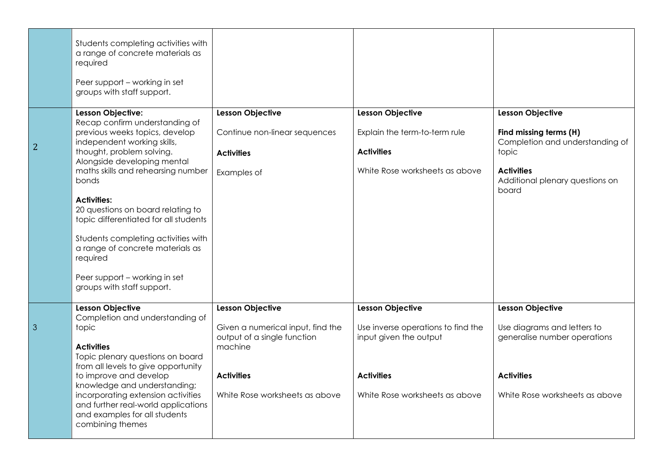|   | Students completing activities with<br>a range of concrete materials as<br>required<br>Peer support - working in set<br>groups with staff support. |                                                                  |                                                              |                                                               |
|---|----------------------------------------------------------------------------------------------------------------------------------------------------|------------------------------------------------------------------|--------------------------------------------------------------|---------------------------------------------------------------|
|   | Lesson Objective:                                                                                                                                  | <b>Lesson Objective</b>                                          | <b>Lesson Objective</b>                                      | <b>Lesson Objective</b>                                       |
| 2 | Recap confirm understanding of<br>previous weeks topics, develop<br>independent working skills,                                                    | Continue non-linear sequences                                    | Explain the term-to-term rule                                | Find missing terms (H)<br>Completion and understanding of     |
|   | thought, problem solving.<br>Alongside developing mental                                                                                           | <b>Activities</b>                                                | <b>Activities</b>                                            | topic                                                         |
|   | maths skills and rehearsing number<br>bonds                                                                                                        | Examples of                                                      | White Rose worksheets as above                               | <b>Activities</b><br>Additional plenary questions on<br>board |
|   | <b>Activities:</b>                                                                                                                                 |                                                                  |                                                              |                                                               |
|   | 20 questions on board relating to<br>topic differentiated for all students                                                                         |                                                                  |                                                              |                                                               |
|   | Students completing activities with<br>a range of concrete materials as<br>required                                                                |                                                                  |                                                              |                                                               |
|   | Peer support - working in set<br>groups with staff support.                                                                                        |                                                                  |                                                              |                                                               |
|   | <b>Lesson Objective</b>                                                                                                                            | <b>Lesson Objective</b>                                          | <b>Lesson Objective</b>                                      | <b>Lesson Objective</b>                                       |
| 3 | Completion and understanding of<br>topic                                                                                                           | Given a numerical input, find the<br>output of a single function | Use inverse operations to find the<br>input given the output | Use diagrams and letters to<br>generalise number operations   |
|   | <b>Activities</b><br>Topic plenary questions on board                                                                                              | machine                                                          |                                                              |                                                               |
|   | from all levels to give opportunity                                                                                                                |                                                                  |                                                              |                                                               |
|   | to improve and develop<br>knowledge and understanding;                                                                                             | <b>Activities</b>                                                | <b>Activities</b>                                            | <b>Activities</b>                                             |
|   | incorporating extension activities<br>and further real-world applications<br>and examples for all students<br>combining themes                     | White Rose worksheets as above                                   | White Rose worksheets as above                               | White Rose worksheets as above                                |
|   |                                                                                                                                                    |                                                                  |                                                              |                                                               |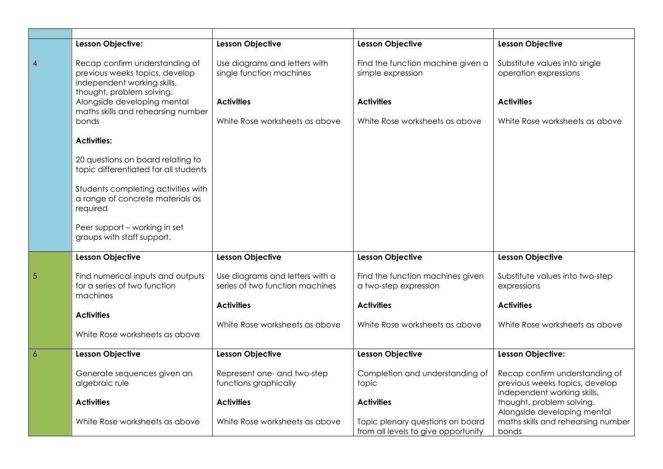|                 | Lesson Objective:                                                                                                            | <b>Lesson Objective</b>                                            | <b>Lesson Objective</b>                                                 | <b>Lesson Objective</b>                                                                         |
|-----------------|------------------------------------------------------------------------------------------------------------------------------|--------------------------------------------------------------------|-------------------------------------------------------------------------|-------------------------------------------------------------------------------------------------|
| $\overline{4}$  | Recap confirm understanding of<br>previous weeks topics, develop<br>independent working skills,<br>thought, problem solving. | Use diagrams and letters with<br>single function machines          | Find the function machine given a<br>simple expression                  | Substitute values into single<br>operation expressions                                          |
|                 | Alongside developing mental<br>maths skills and rehearsing number                                                            | <b>Activities</b>                                                  | <b>Activities</b>                                                       | <b>Activities</b>                                                                               |
|                 | bonds                                                                                                                        | White Rose worksheets as above                                     | White Rose worksheets as above                                          | White Rose worksheets as above                                                                  |
|                 | <b>Activities:</b>                                                                                                           |                                                                    |                                                                         |                                                                                                 |
|                 | 20 questions on board relating to<br>topic differentiated for all students                                                   |                                                                    |                                                                         |                                                                                                 |
|                 | Students completing activities with<br>a range of concrete materials as<br>required                                          |                                                                    |                                                                         |                                                                                                 |
|                 | Peer support - working in set<br>groups with staff support.                                                                  |                                                                    |                                                                         |                                                                                                 |
|                 | <b>Lesson Objective</b>                                                                                                      | <b>Lesson Objective</b>                                            | <b>Lesson Objective</b>                                                 | <b>Lesson Objective</b>                                                                         |
| $5\overline{5}$ | Find numerical inputs and outputs<br>for a series of two function<br>machines                                                | Use diagrams and letters with a<br>series of two function machines | Find the function machines given<br>a two-step expression               | Substitute values into two-step<br>expressions                                                  |
|                 | <b>Activities</b>                                                                                                            | <b>Activities</b>                                                  | <b>Activities</b>                                                       | <b>Activities</b>                                                                               |
|                 |                                                                                                                              | White Rose worksheets as above                                     | White Rose worksheets as above                                          | White Rose worksheets as above                                                                  |
|                 | White Rose worksheets as above                                                                                               |                                                                    |                                                                         |                                                                                                 |
| $\overline{6}$  | Lesson Objective                                                                                                             | <b>Lesson Objective</b>                                            | <b>Lesson Objective</b>                                                 | Lesson Objective:                                                                               |
|                 | Generate sequences given an<br>algebraic rule                                                                                | Represent one- and two-step<br>functions graphically               | Completion and understanding of<br>topic                                | Recap confirm understanding of<br>previous weeks topics, develop<br>independent working skills, |
|                 | <b>Activities</b>                                                                                                            | <b>Activities</b>                                                  | <b>Activities</b>                                                       | thought, problem solving.<br>Alongside developing mental                                        |
|                 | White Rose worksheets as above                                                                                               | White Rose worksheets as above                                     | Topic plenary questions on board<br>from all levels to give opportunity | maths skills and rehearsing number<br>bonds                                                     |